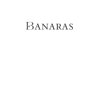# BANARAS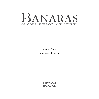## Banaras of gods, humans and stories

Nilosree Biswas Photographs: Irfan Nabi

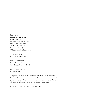Published by

#### **NIYOGI BOOKS**

Block D, Building No. 77 Okhla Industrial Area, Phase-I New Delhi-110 020, INDIA Tel: 91-11-26816301, 26818960 Email: niyogibooks@gmail.com Website: www.niyogibooksindia.com

Text © Nilosree Biswas Photographs © Irfan Nabi

Editor: Arunima Ghosh Design: Nabanita Das Cover Design: Trisha De Niyogi

ISBN: 978-93-89136-77-7 Publication: 2021

All rights are reserved. No part of this publication may be reproduced or transmitted in any form or by any means, electronic or mechanical, including photocopying, recording or by any information storage and retrieval system without prior written permission and consent of the publisher.

Printed at: Niyogi Offset Pvt. Ltd., New Delhi, India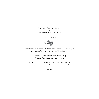*In memory of Arundhati Banerjee & For Ma who could never visit Banaras*

Nilosree Biswas



*Robert Booth (Auchterarder, Scotland) for sharing your eclectic insights about arts and life, and for a most cherished friendship.* 

> *My mother Zaitoon Khan for teaching me dignity in facing challenges and grace in triumph.*

*My Dad, Dr Ghulam Nabi Dar, a man of impeccable integrity, whose spontaneous humour has made us smirk and smile.*

> *.* Irfan Nabi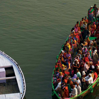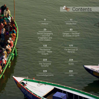

#### 9

Preface

#### 23

Sacred Geography – Informed Imagination and Real Creation

#### 133

The Material Connect – Made in Earth

#### 223

The Temporal **Decipher** 

#### 229

Acknowledgements

#### 11

Introduction

#### 83

Ganges – The River of Heaven on Earth

#### 177

For the Love Of Banaras

#### 224

**Notes** 

231 Index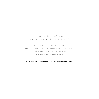'In my imagination, there's a city full of flowers, Where always lives spring—the most loveable city' (21)

'The city is a garden of grand peaceful greenery Where springs always live—this is a story told throughout the world. When Banaras views its reflection in the Ganga, It becomes a symbol of beauty in itself.' (67)

– Mirza Ghalib, *Chiragh-e-Dair (The Lamp of the Temple)*, 1827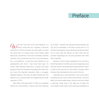### Preface

 $O\!\!\!\!\!W$  hen did I first hear of the word 'Banaras', it is  $O\!\!\!\!W$  hard to recall now, but I suppose, it would be hard to recall now, but I suppose, it would be sometime in 1979 as an 8-year-old, sitting tight on a thick red rexine chair of a single screen movie theatre called Bashusree, somewhere in the south of Kolkata, erstwhile Calcutta. I do not recall who was next to me in the theatre, but in all likelihood, I would have been flanked by my grandparents with whom I was living those days. On screen, Ray's Marcello Mastroianni, a poised, drop dead gorgeous Soumitra Chatterjee was playing the sleuth who pins down the enigmatic upmarket villain, a smuggler, Maganlal Meghraj. That was *Joy Baba Felunath* aka *The Elephant God*, a pacey thriller that Satyajit Ray had made way back in 1979.

Much later in the early winter of 1996, as an assistant director for a documentary, I made my first trip to Banaras as an adult. I realized how Ray had infused Banaras, the city, into his screenplay. In the film's running time of 112 minutes, the audience is never allowed to get disconnected; not for once does the director let them think that the onscreen happenings are occurring anywhere else other than in Banaras.

Banaras, in all its intrigue, appealed to me much like a fervent fascination, for all that was around, happening round the clock, and the city theatrically revealing itself from dawn to dusk on the long rows of stone steps, the *ghats*, within the lanes that meandered into the womb of the city.

Captivated by so many elements, I was curious about everything around, more so about those dense, numerous alleys, the overcrowded streets, where an old oxen visited a particular sweet shop in the daily lure of *jalebi*, the innumerable rickety stalls, which sold puja samagrihee or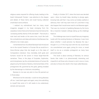religious wares required for offering rituals, leading to the Kashi Vishwanath Temple. I was attentive to the shapes and details of these items and recall having collected small black stone artifacts.

I realized my enthrallment had too many visual imageries plugged in my head, emerging from the ceaseless motion that some historians have termed as the 'unceasing earthly drama of life and death'<sup>1</sup>. That struck a note hard and tender at the same time, much like both the contradictions and deep admirations that Banaras has offered to me in later years.

I remembered how Arundhati Banerjee had introduced me to the myriad 'theatrics' of human life as would be in Greco-Roman plays that she taught us in the class of Comparative Literature. How, inevitably, both gods and humans would be the actors in those larger-than-life narratives. There, in the plays of Euripides, Sophocles, and Aristophanes, lay the unintended drama of human life played out by the hands of destiny; intertwined fates of the protagonist's life, governed by the gods, getting revealed by the dramaturge in a histrionic storytelling.

Banaras to me was very akin to how life panned out in those plays.

Whichever be the rationale, I could not shrug Banaras off me. I went back again and again, every time admitting to myself that some of it still needs to be understood, sensed, and savoured.

Finally, in October 2017, when this book was decided upon, I drew my breath deep, deciding to plunge again, knowing fully well that I may come out totally scathed or oblivious, that I still may want more of it, and then it may also happen that I would never want to visit Banaras again. That was my moment of grabbing Banaras by the horns like a maverick matador willingly taking up the challenge head on.

The challenge was more to myself than any imaginary tussle with the existing literature on Banaras; it was more about whether I could perceive my Banaras the way I thought it is, or if this long tryst with the city would leave me overwhelmed once again, pining for more, or reveal itself to me as a complex protagonist as many have perceived earlier.

This book is about sensing of Banaras, its various facets that make it so phenomenally interesting and impactful to all those who choose to visit it once or more, and also to those who dwell in the maze called Banaras.

10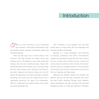## Introduction

 $\overline{h}$  here is a river, and there is a city, constructed over centuries. In that built-in environment, there are temples, shrines, mosques, monasteries, ghats, and cremation grounds.

There are also long rows of stone steps on the riverfront, that lead upwards into alleys narrow and winding, never in 90 degrees to each other, laced with temples new and old, crumbling houses, shops, halfbroken balconies, more temples, cows, cow dung, cheap and fine saree shops, looms weaving unreal fabrics, tea stalls, dargahs, and schools rickety and old with peeled off signboards. And there are people, hundreds, thousands, and more, and the invisible divine who is supposedly governing this space, the omnipresent. With the omnipresent lies endless stories, told, untold, as well as repeatedly told.

This is Banaras, a city, imagined, real, and fluid, written about so many times, and yet invigorating and complex enough to probe again.

Banaras is a living landscape, with elements of antiquity, symbolism, and built-in environments, created and recreated by agencies who have made it the city of today where millions throng. It bears and carries urban lores like any other old city of the world. However, there is a tangible present to it that has been constructed in the last few hundred years, giving it the form as it appears and feels today.

Adjectives like 'ethereal', 'eternal', and 'timeless' are epithets that the city has been imprinted with, which has been further reinforced through visual mediums, various travelogues, and other accounts. How did these interlinking groups of words get attached to Banaras?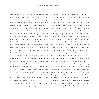Or is it just a way of 'seeing' the city? Banaras has been perceived and interpreted over many centuries by different actors and agencies while they invested in it. No other city of significant religious, social, and cultural past has entangled itself among these varied acronyms like Banaras has.

When do we first find a reference of Kashi or Banaras in the vast corpus of Sanskrit literature? The textual references dating back to 6th century BCE describe a vibrant city life that is claimed to have remained uninterrupted by 2500 years of continuous habitation. But then, the informed imagination of millions has more to it. Banaras or Kashi is the city that Shiva created, while he was creating the universe itself; it is his chosen abode on earth. This is the primary narrative that hundreds and thousands believe in, as does a scholastic discourse.

So, there is abundant mythology, antiquity, informed imagination, and a contemporary understanding of Banaras. It is of interest to me in exploring the interplay of these mythologies, the texts, the history, the politics of social groups, and the patronage that concurrently worked towards making Banaras. What we see in this lived-in space of the people and the monuments, including what is apparent and what can be deciphered, and finally, of what meets more than the eyes, could be the very threads to mesh with.

Understanding Banaras is not simple. There are many ways of sensing the city—one of them is, of course, by acquainting oneself with the earliest textual foundations of Sanskrit scholarship, including the Puranas. Of the prime texts are *Kashi Khanda* in *Skanda Purana, Kashi Rahasya, Brahma Purana, Matsya Purana,* and *Kurma Purana*, all of which mention Kashi or Varanasi in vivid details. Many of them are eulogies (*mahatya*s) of Banaras written in volumes. They narrate Hindu mythology, various cosmic components of Hinduism, and religious essays covering all aspects of an ideal Hindu life. Interestingly, different versions of them have minute yet noticeable adaptations from the times when they were written in even adopting elements of regional or vernacular understanding of theology as well as including local, folk components. In sum, they remain manuals of religious formulations of a particular world order, within which Banaras is situated.

Another mode of perceiving Banaras would be through the engagements of Mughals and their grandees, experiences of Western travellers, merchants, missionaries, chroniclers, officials of the East India Company, and civil servants of the British Government in India, who visited and lived in the city in various eras starting from the 15th century. Their accounts of the city are laced with personal interpretations, like that of Tavernier, who visited India six times in 33 years between 1636 and 1668. Tavernier depicted in great detail what he saw of the daily life and ritual practices in Banaras.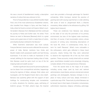His was a record of bewilderment mostly, a descriptive narrative of culture that was unknown to him.

Prior to François Bernier, it was a British traveller, Ralph Fitch, one of the most adventurous Elizabethan citizens, who travelled from Aleppo in Syria, and then finally to India, where he found a connect at Emperor Akbar's court. He landed in Banaras from Allahabad and then continued his journey to Patna and further east. He writes: 'From thence we went to Bannaras [Banaras] which is a great towne, and a great store of cloth is made there of cotton, and shashes [turban-clothes] for the Moores.'<sup>2</sup>

While Tavernier's observation was more cultural, François Bernier's travel accounts reflected the economic power of India. Bernier mentions how Hindu and Muslim traders both possessed wealth and had thriving businesses. If we were to make an impression of this remark, befitting for the important trading cities of India, then Banaras would be quite much on top of the list implying trade and wealth access.<sup>3</sup>

 Another significant discourse for perceiving Banaras can be drawn from sociopolitical activities, happenings during the regimes of Akbar, Jahangir, Shah Jahan, and Aurangzeb, until the Mughal Empire died a slow death. Banaras was opulently gifted with the support of land holdings for constructing temples and monasteries or *muth*s, donations for charities, pujas, well-being of brahmin groups. Till Shah Jahan's reign, the imperial court also provided a thorough patronage for Sanskrit scholarship. While Humayun started the practice of granting land with issuing royal *farman* or order allotting 300 acres of land to *Jangamwadi Muth,* a Shaivite monastery, Akbar added to the allowance by gifting 100 *bigha*s (land measure).

These are evidences how Banaras was always on the radar of not only the promoters of its primary environment, but also of the highest state machinery. And then, of course, it had innumerable visitors, whose accounts of writing carry interesting descriptions of the local life, which, in contemporary times, has a term for itself—'Banarasi'. What's more noticeable is the enthusiasm, which gets reflected in these travel accounts, clearly hinting that they were welcomed to observe the majoritarian life of the city from close quarters. These accounts, mostly tinted with an oriental gaze, nevertheless revealed some amazingly intriguing, complex details of the living experiences of Banaras.

From the sacred texts to the maps of all scales, including survey maps used by local and national administration, travel diaries, and pre-colonial and colonial paintings and photographs, Banaras emerges to be a place of many colours and hues, deeply immersed in a particular way of life. These tools, by which Banaras can be lensed, have in them layers of pluralism, inclusiveness, authoritarian responses, religious orthodoxy, patronage,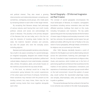and political interest. They also reveal a growing interconnection and relationship between competing and, sometimes, overlapping social groups, who made pacts by remaining tolerant to each other in their larger interest.

By accepting that Banaras always had patronage of various natures, each having their own motif, mostly political, cultural, and social, one acknowledges the 'plural' in Banaras. This plurality is the primary designer of the Banaras that we see today, and in this lies not only the interests of investing stake holders like the state, the brahmin Sanskrit scholars and activists, but also the people who were the everyday actors including pilgrims.

Banaras is primarily a people's narrative, a story that also has a built-in city space consisting of a sacred landscape, an imagined topography, designed and created through the combination of reconstructed symbolism, political and cultural stakes, shaping its most noted temples, venerated sites, shrines, fort-palaces, ghats, and private houses on the riverfront, around which the city exists till date.

In this book, my attempt would be to keep the conversation going between the current experiences of the urban space and those of antiquity. Sometimes, these narratives may intersect with the present as the binding cement, but many times, there may be two parallel running tracks that move together alongside each other.

#### Sacred Geography – Of Informed Imagination and Real Creation

The concept of sacred geography encompasses the ritual landscapes of Banaras, its inception, cartographic boundaries including various veneration sites and their affiliated practices, buildings that stand on this route, including fort-palaces and mansions. The key public spaces that govern the city today had also let the formation of newer maps of religious and everyday movement. In the last few centuries, the perceptible sacred space has got added and edited, affirming the trait of fluidity to the very nature of pious geography, although deeply connected to its religious core, as summed up in the texts.

After 1600, Banaras decidedly became a point of interest for the Mughal court and its allied trading network across the subcontinent, fostering new patronages for the city. It resulted in major investments at religious sites, rituals, and practices, which trickled over in the form of patronizing significant architecture that would become the markers of new authority. Urbanization, motivations, and aspirations of individuals and power groups would reflect on the built environment. Around this pattern of power play, would surface the rejuvenated pilgrimage routes, new temples, dharmashalas, wells, and tanks dedicated to gods or goddess.

The sacred landscape that has surfaced in the last five to six centuries was overlaid on the older ritual geography,